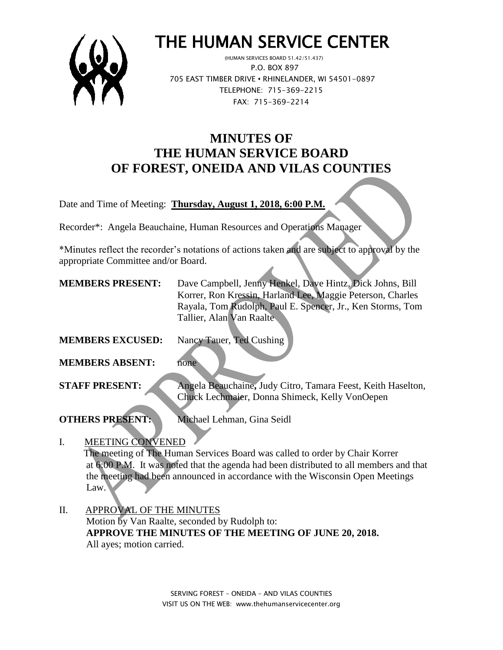

# THE HUMAN SERVICE CENTER

 (HUMAN SERVICES BOARD 51.42/51.437) P.O. BOX 897 705 EAST TIMBER DRIVE **•** RHINELANDER, WI 54501-0897 TELEPHONE: 715-369-2215 FAX: 715-369-2214

# **MINUTES OF THE HUMAN SERVICE BOARD OF FOREST, ONEIDA AND VILAS COUNTIES**

Date and Time of Meeting: **Thursday, August 1, 2018, 6:00 P.M.**

Recorder\*: Angela Beauchaine, Human Resources and Operations Manager

\*Minutes reflect the recorder's notations of actions taken and are subject to approval by the appropriate Committee and/or Board.

| <b>MEMBERS PRESENT:</b> | Dave Campbell, Jenny Henkel, Dave Hintz, Dick Johns, Bill                                                      |
|-------------------------|----------------------------------------------------------------------------------------------------------------|
|                         | Korrer, Ron Kressin, Harland Lee, Maggie Peterson, Charles                                                     |
|                         | Rayala, Tom Rudolph, Paul E. Spencer, Jr., Ken Storms, Tom                                                     |
|                         | Tallier, Alan Van Raalte                                                                                       |
| <b>MEMBERS EXCUSED:</b> | Nancy Tauer, Ted Cushing                                                                                       |
| <b>MEMBERS ABSENT:</b>  | none                                                                                                           |
| <b>STAFF PRESENT:</b>   | Angela Beauchaine, Judy Citro, Tamara Feest, Keith Haselton,<br>Chuck Lechmaier, Donna Shimeck, Kelly VonOepen |
|                         |                                                                                                                |

**OTHERS PRESENT:** Michael Lehman, Gina Seidl

#### I. MEETING CONVENED

 The meeting of The Human Services Board was called to order by Chair Korrer at 6:00 P.M. It was noted that the agenda had been distributed to all members and that the meeting had been announced in accordance with the Wisconsin Open Meetings Law.

II. APPROVAL OF THE MINUTES Motion by Van Raalte, seconded by Rudolph to: **APPROVE THE MINUTES OF THE MEETING OF JUNE 20, 2018.** All ayes; motion carried.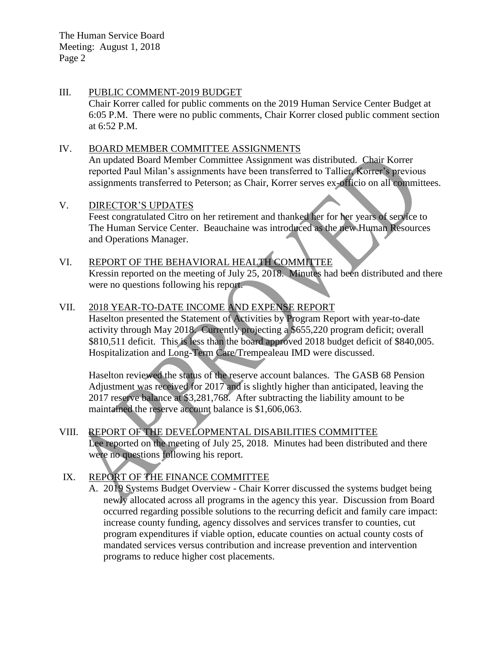The Human Service Board Meeting: August 1, 2018 Page 2

#### III. PUBLIC COMMENT-2019 BUDGET Chair Korrer called for public comments on the 2019 Human Service Center Budget at 6:05 P.M. There were no public comments, Chair Korrer closed public comment section at 6:52 P.M.

#### IV. BOARD MEMBER COMMITTEE ASSIGNMENTS

An updated Board Member Committee Assignment was distributed. Chair Korrer reported Paul Milan's assignments have been transferred to Tallier, Korrer's previous assignments transferred to Peterson; as Chair, Korrer serves ex-officio on all committees.

#### V. DIRECTOR'S UPDATES

Feest congratulated Citro on her retirement and thanked her for her years of service to The Human Service Center. Beauchaine was introduced as the new Human Resources and Operations Manager.

# VI. REPORT OF THE BEHAVIORAL HEALTH COMMITTEE

Kressin reported on the meeting of July 25, 2018. Minutes had been distributed and there were no questions following his report.

#### VII. 2018 YEAR-TO-DATE INCOME AND EXPENSE REPORT

Haselton presented the Statement of Activities by Program Report with year-to-date activity through May 2018. Currently projecting a \$655,220 program deficit; overall \$810,511 deficit. This is less than the board approved 2018 budget deficit of \$840,005. Hospitalization and Long-Term Care/Trempealeau IMD were discussed.

Haselton reviewed the status of the reserve account balances. The GASB 68 Pension Adjustment was received for 2017 and is slightly higher than anticipated, leaving the 2017 reserve balance at \$3,281,768. After subtracting the liability amount to be maintained the reserve account balance is \$1,606,063.

#### VIII. REPORT OF THE DEVELOPMENTAL DISABILITIES COMMITTEE Lee reported on the meeting of July 25, 2018. Minutes had been distributed and there were no questions following his report.

# IX. REPORT OF THE FINANCE COMMITTEE

A. 2019 Systems Budget Overview - Chair Korrer discussed the systems budget being newly allocated across all programs in the agency this year. Discussion from Board occurred regarding possible solutions to the recurring deficit and family care impact: increase county funding, agency dissolves and services transfer to counties, cut program expenditures if viable option, educate counties on actual county costs of mandated services versus contribution and increase prevention and intervention programs to reduce higher cost placements.